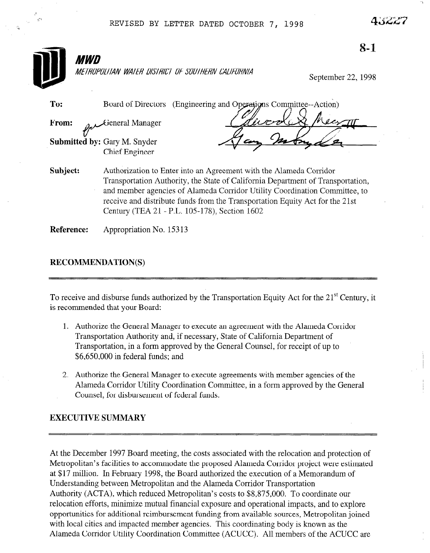| <i>MWD</i> |                                                                                                                                                                                                                                                                                                                                                                      | $8 - 1$ |
|------------|----------------------------------------------------------------------------------------------------------------------------------------------------------------------------------------------------------------------------------------------------------------------------------------------------------------------------------------------------------------------|---------|
|            | METROPOLITAN WATER DISTRICT OF SOUTHERN CALIFORNIA<br>September 22, 1998                                                                                                                                                                                                                                                                                             |         |
| To:        | (Engineering and Operations Committee--Action)<br>Board of Directors                                                                                                                                                                                                                                                                                                 |         |
| From:      | General Manager                                                                                                                                                                                                                                                                                                                                                      |         |
|            | <b>Submitted by: Gary M. Snyder</b><br>Chief Engineer                                                                                                                                                                                                                                                                                                                |         |
| Subject:   | Authorization to Enter into an Agreement with the Alameda Corridor<br>Transportation Authority, the State of California Department of Transportation,<br>and member agencies of Alameda Corridor Utility Coordination Committee, to<br>receive and distribute funds from the Transportation Equity Act for the 21st<br>Century (TEA 21 - P.L. 105-178), Section 1602 |         |
| Reference: | Appropriation No. 15313                                                                                                                                                                                                                                                                                                                                              |         |

# RECOMMENDATION(S)

 $T_0$  received and disturbed by the Transportation  $T_0$  and  $T_1$ I'D receive and dispuise funds au

- 1. Authorize the General Manager to execute an agreement with the Alameda Corridor Authorize the General Manager to execute an agreement with the Alametia C Transportation Authority and, if necessary, State of California Department of Transportation, in a form approved by the General Counsel, for receipt of up to \$6,650,000 in federal funds; and
- Authorize the General Manager to execute agreements with member agencies of the Alameda Corridor Utility Coordination Committee, in a form approved by the General Counsel, for disbursement of federal funds.

At the December 1997 Board meeting, the costs associated with the relocation and protection of Metropolitan's facilities to accommodate the proposed Alameda Corridor project were estimated at \$17 million. In February 1998, the Board authorized the execution of a Memorandum of Understanding between Metropolitan and the Alameda Corridor Transportation Authority (ACTA), which reduced Metropolitan's costs to \$8,875,000. To coordinate our relocation efforts, minimize mutual financial exposure and operational impacts, and to explore opportunities for additional reimbursement funding from available sources, Metropolitan joined with local cities and impacted member agencies. This coordinating body is known as the Alameda Corridor Utility Coordination Committee (ACUCC). All members of the ACUCC are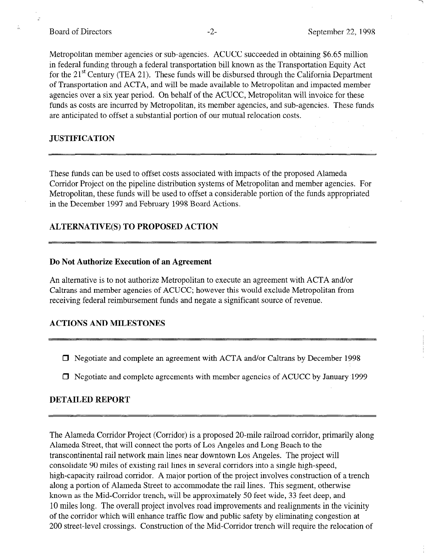Metropolitan member agencies or sub-agencies. ACUCC succeeded in obtaining \$6.65 million in federal funding through a federal transportation bill known as the Transportation Equity Act for the  $21<sup>st</sup>$  Century (TEA 21). These funds will be disbursed through the California Department of Transportation and ACTA, and will be made available to Metropolitan and impacted member agencies over a six year period. On behalf of the ACUCC, Metropolitan will invoice for these funds as costs are incurred by Metropolitan, its member agencies, and sub-agencies. These funds are anticipated to offset a substantial portion of our mutual relocation costs.

### JUSTIFICATION

These funds can be used to offset costs associated with impacts of the proposed Alameda Corridor Project on the pipeline distribution systems of Metropolitan and member agencies. For Metropolitan, these funds will be used to offset a considerable portion of the funds appropriated in the December 1997 and February 1998 Board Actions.

## ALTERNATIVE(S) TO PROPOSED ACTION

#### Do Not Authorize Execution of an Agreement

An alternative is to not authorize Metropolitan to execute an agreement with ACTA and/or Caltrans and member agencies of ACUCC; however this would exclude Metropolitan from receiving federal reimbursement funds and negate a significant source of revenue.

### ACTIONS AND MILESTONES

- $\Box$  Negotiate and complete an agreement with ACTA and/or Caltrans by December 1998
- 

The Alameda Corridor Project (Corridor) is a proposed 20-mile railroad corridor, primarily along Alameda Street, that will connect the ports of Los Angeles and Long Beach to the transcontinental rail network main lines near downtown Los Angeles. The project will consolidate 90 miles of existing rail lines in several corridors into a single high-speed, high-capacity railroad corridor. A major portion of the project involves construction of a trench along a portion of Alameda Street to accommodate the rail lines. This segment, otherwise known as the Mid-Corridor trench, will be approximately 50 feet wide, 33 feet deep, and 10 miles long. The overall project involves road improvements and realignments in the vicinity of the corridor which will enhance traffic flow and public safety by eliminating congestion at 200 street-level crossings. Construction of the Mid-Corridor trench will require the relocation of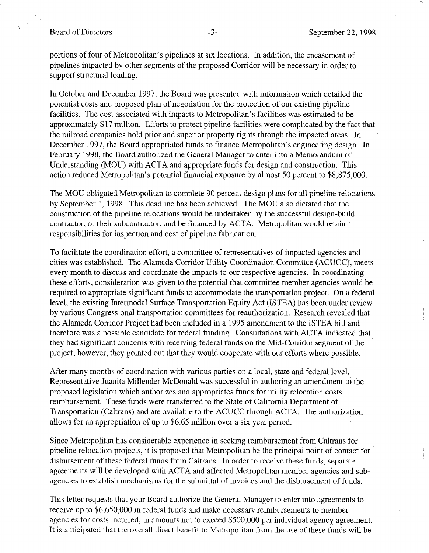#### Board of Directors -3- September 22, 1998

portions of four of Metropolitan's pipelines at six locations. In addition, the encasement of pipelines impacted by other segments of the proposed Corridor will be necessary in order to support structural loading.

In October and December 1997, the Board was presented with information which detailed the potential costs and proposed plan of negotiation for the protection of our existing pipeline facilities. The cost associated with impacts to Metropolitan's facilities was estimated to be approximately \$17 million. Efforts to protect pipeline facilities were complicated by the fact that the railroad companies hold prior and superior property rights through the impacted areas. In December 1997, the Board appropriated funds to finance Metropolitan's engineering design. In February 1998, the Board authorized the General Manager to enter into a Memorandum of Understanding (MOU) with ACTA and appropriate funds for design and construction. This action reduced Metropolitan's potential financial exposure by almost 50 percent to \$8,875,000.

The MOU obligated Metropolitan to complete 90 percent design plans for all pipeline relocations by September 1, 1998. This deadline has been achieved. The MOU also dictated that the construction of the pipeline relocations would be undertaken by the successful design-build contractor, or their subcontractor, and be financed by ACTA. Metropolitan would retain responsibilities for inspection and cost of pipeline fabrication.

To facilitate the coordination effort, a committee of representatives of impacted agencies and cities was established. The Alameda Corridor Utility Coordination Committee (ACUCC), meets every month to discuss and coordinate the impacts to our respective agencies. In coordinating the set of the conservation was given to the property of the potential that commutating required to appropriate the transportation was given to the potential that committee member agencies would be required to appropriate significant funds to accommodate the transportation project. On a federal level, the existing Intermodal Surface Transportation Equity Act (ISTEA) has been under review by various Congressional transportation committees for reauthorization. Research revealed that the Alameda Corridor Project had been included in a 1995 amendment to the ISTEA bill and therefore was a possible candidate for federal funding. Consultations with ACTA indicated that they had significant concerns with receiving federal funds on the Mid-Corridor segment of the project; however, they pointed out that they would cooperate with our efforts where possible.

After many months of coordination with various parties on a local, state and federal level, Representative Juanita Millender McDonald was successful in authoring an amendment to the proposed legislation which authorizes and appropriates funds for utility relocation costs reimbursement. These funds were transferred to the State of California Department of Transportation (Caltrans) and are available to the ACUCC through ACTA. The authorization allows for an appropriation of up to \$6.65 million over a six year period.

Since Metropolitan has considerable experience in seeking reimbursement from Caltrans for

Since Metropolitan has considerable experience in seeking reimbursement from Caltrans for pipeline relocation projects, it is proposed that Metropolitan be the principal point of contact for disbursement of these federal funds from Caltrans. In order to receive these funds, separate agreements will be developed with ACTA and affected Metropolitan member agencies and subagencies to establish mechanisms for the submittal of invoices and the disbursement of funds.

This letter requests that your Board authorize the General Manager to enter into agreements to receive up to \$6,650,000 in federal funds and make necessary reimbursements to member agencies for costs incurred, in amounts not to exceed \$500,000 per individual agency agreement. It is anticipated that the overall direct benefit to Metropolitan from the use of these funds will be